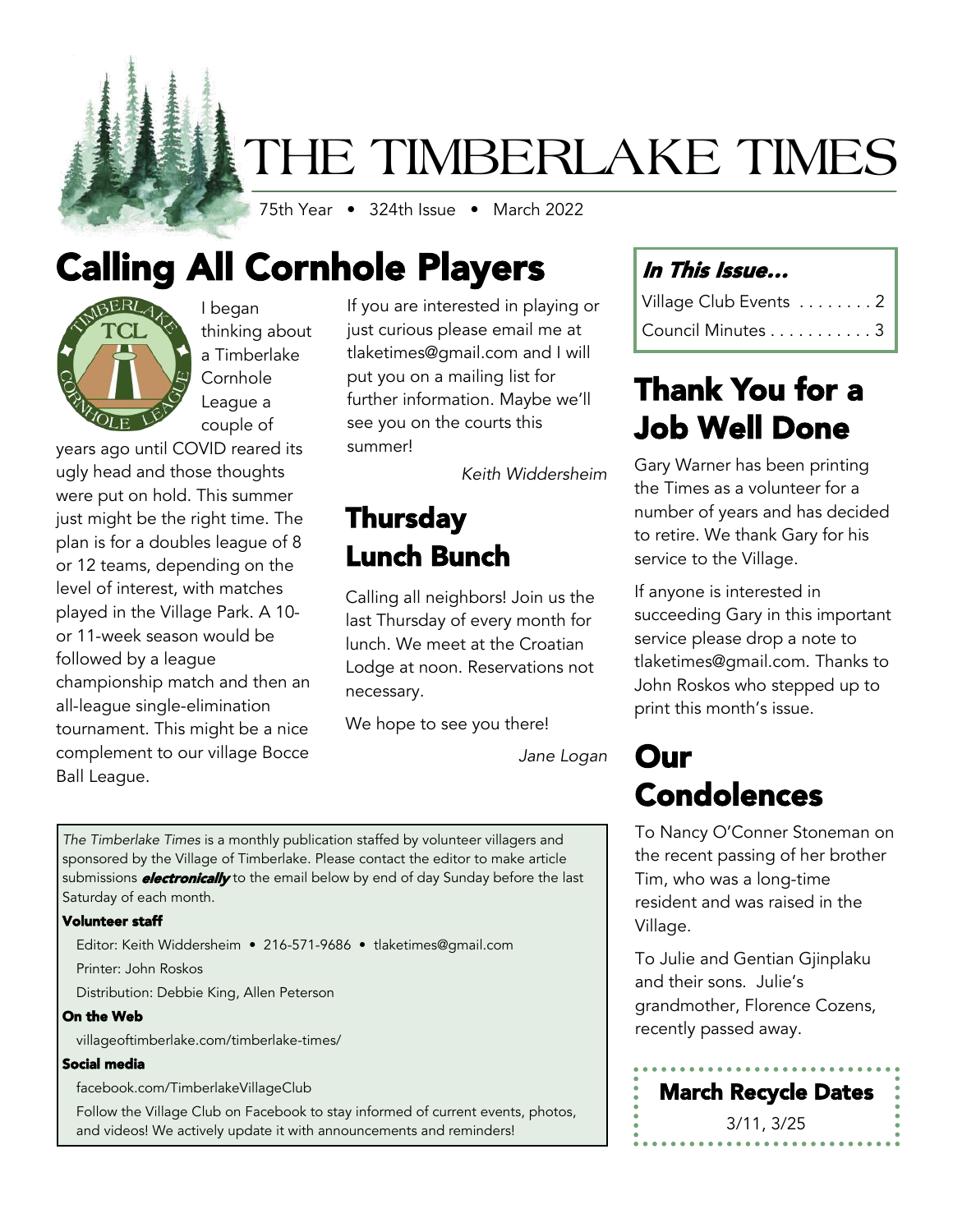# THE TIMBERLAKE TIMES

75th Year • 324th Issue • March 2022

# Calling All Cornhole Players



I began thinking about a Timberlake Cornhole League a couple of

years ago until COVID reared its ugly head and those thoughts were put on hold. This summer just might be the right time. The plan is for a doubles league of 8 or 12 teams, depending on the level of interest, with matches played in the Village Park. A 10 or 11-week season would be followed by a league championship match and then an all-league single-elimination tournament. This might be a nice complement to our village Bocce Ball League.

If you are interested in playing or just curious please email me at tlaketimes@gmail.com and I will put you on a mailing list for further information. Maybe we'll see you on the courts this summer!

*Keith Widdersheim*

### Thursday Lunch Bunch

Calling all neighbors! Join us the last Thursday of every month for lunch. We meet at the Croatian Lodge at noon. Reservations not necessary.

We hope to see you there!

*Jane Logan*

*The Timberlake Times* is a monthly publication staffed by volunteer villagers and sponsored by the Village of Timberlake. Please contact the editor to make article submissions *electronically* to the email below by end of day Sunday before the last Saturday of each month.

#### Volunteer staff

Editor: Keith Widdersheim • 216-571-9686 • tlaketimes@gmail.com

Printer: John Roskos

Distribution: Debbie King, Allen Peterson

#### On the Web

villageoftimberlake.com/timberlake-times/

#### Social media

facebook.com/TimberlakeVillageClub

Follow the Village Club on Facebook to stay informed of current events, photos, and videos! We actively update it with announcements and reminders!

### In This Issue…

| Village Club Events 2 |  |
|-----------------------|--|
| Council Minutes 3     |  |

### Thank You for a Job Well Done

Gary Warner has been printing the Times as a volunteer for a number of years and has decided to retire. We thank Gary for his service to the Village.

If anyone is interested in succeeding Gary in this important service please drop a note to tlaketimes@gmail.com. Thanks to John Roskos who stepped up to print this month's issue.

### Our Condolences

To Nancy O'Conner Stoneman on the recent passing of her brother Tim, who was a long-time resident and was raised in the Village.

To Julie and Gentian Gjinplaku and their sons. Julie's grandmother, Florence Cozens, recently passed away.

March Recycle Dates 3/11, 3/25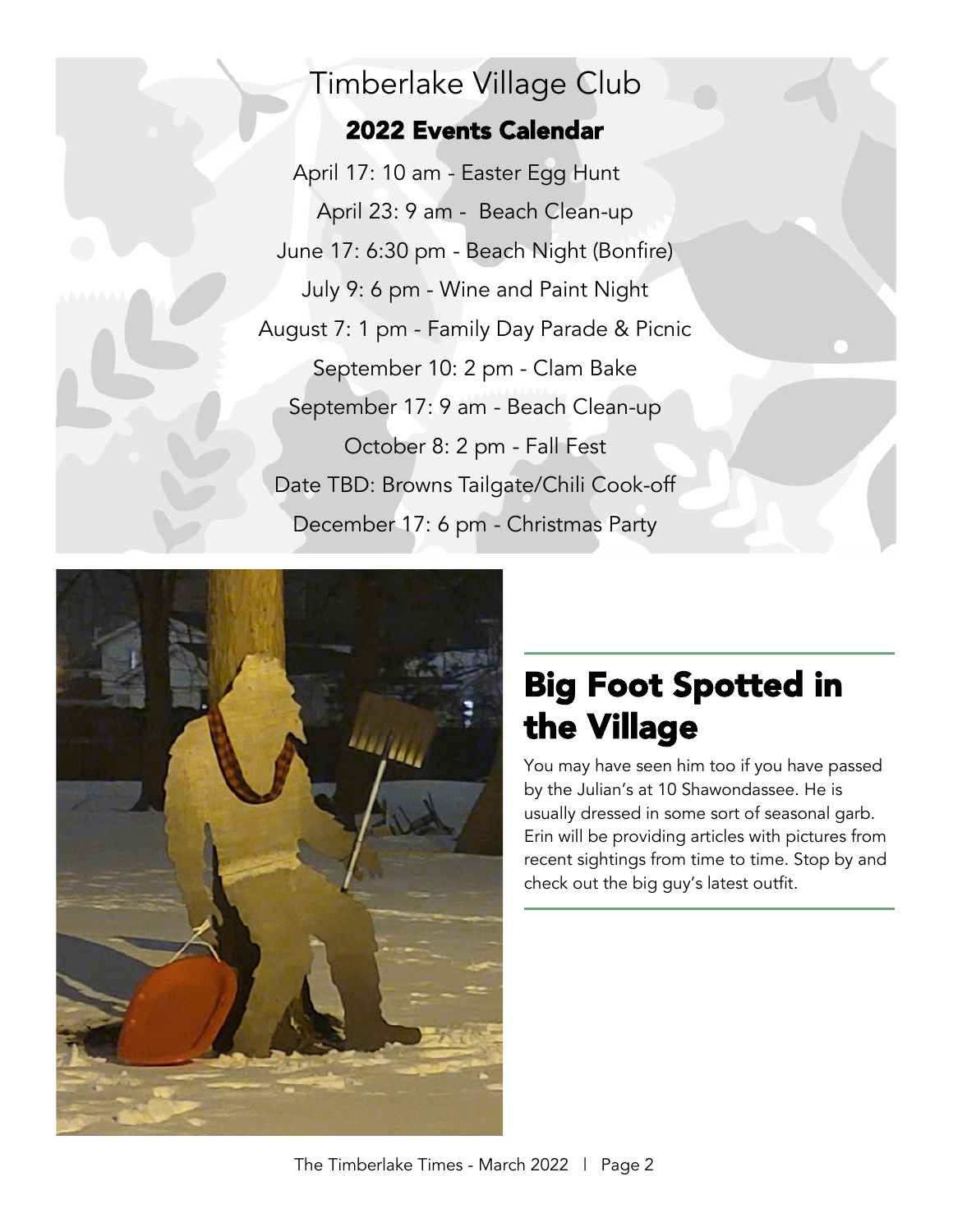### Timberlake Village Club

### 2022 Events Calendar

April 17: 10 am - Easter Egg Hunt April 23: 9 am - Beach Clean-up June 17: 6:30 pm - Beach Night (Bonfire) July 9: 6 pm - Wine and Paint Night August 7: 1 pm - Family Day Parade & Picnic September 10: 2 pm - Clam Bake September 17: 9 am - Beach Clean-up October 8: 2 pm - Fall Fest Date TBD: Browns Tailgate/Chili Cook-off December 17: 6 pm - Christmas Party



## Big Foot Spotted in the Village

You may have seen him too if you have passed by the Julian's at 10 Shawondassee. He is usually dressed in some sort of seasonal garb. Erin will be providing articles with pictures from recent sightings from time to time. Stop by and check out the big guy's latest outfit.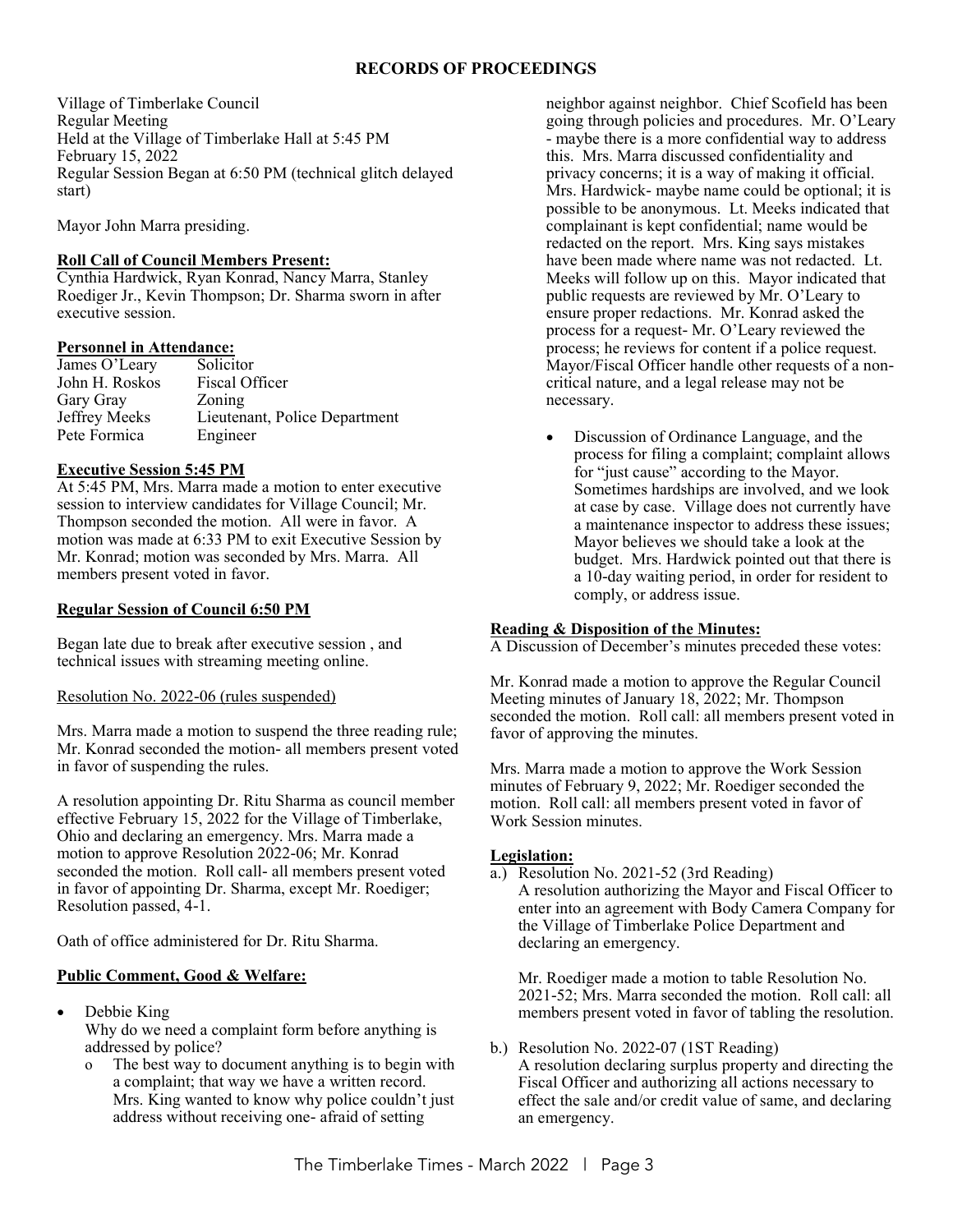#### **RECORDS OF PROCEEDINGS**

Village of Timberlake Council Regular Meeting Held at the Village of Timberlake Hall at 5:45 PM February 15, 2022 Regular Session Began at 6:50 PM (technical glitch delayed start)

Mayor John Marra presiding.

#### **Roll Call of Council Members Present:**

Cynthia Hardwick, Ryan Konrad, Nancy Marra, Stanley Roediger Jr., Kevin Thompson; Dr. Sharma sworn in after executive session.

#### **Personnel in Attendance:**

| James O'Leary  | Solicitor                     |
|----------------|-------------------------------|
| John H. Roskos | Fiscal Officer                |
| Gary Gray      | Zoning                        |
| Jeffrey Meeks  | Lieutenant, Police Department |
| Pete Formica   | Engineer                      |

#### **Executive Session 5:45 PM**

At 5:45 PM, Mrs. Marra made a motion to enter executive session to interview candidates for Village Council; Mr. Thompson seconded the motion. All were in favor. A motion was made at 6:33 PM to exit Executive Session by Mr. Konrad; motion was seconded by Mrs. Marra. All members present voted in favor.

#### **Regular Session of Council 6:50 PM**

Began late due to break after executive session , and technical issues with streaming meeting online.

Resolution No. 2022-06 (rules suspended)

Mrs. Marra made a motion to suspend the three reading rule; Mr. Konrad seconded the motion- all members present voted in favor of suspending the rules.

A resolution appointing Dr. Ritu Sharma as council member effective February 15, 2022 for the Village of Timberlake, Ohio and declaring an emergency. Mrs. Marra made a motion to approve Resolution 2022-06; Mr. Konrad seconded the motion. Roll call- all members present voted in favor of appointing Dr. Sharma, except Mr. Roediger; Resolution passed, 4-1.

Oath of office administered for Dr. Ritu Sharma.

#### **Public Comment, Good & Welfare:**

- Debbie King Why do we need a complaint form before anything is addressed by police?
	- o The best way to document anything is to begin with a complaint; that way we have a written record. Mrs. King wanted to know why police couldn't just address without receiving one- afraid of setting

neighbor against neighbor. Chief Scofield has been going through policies and procedures. Mr. O'Leary - maybe there is a more confidential way to address this. Mrs. Marra discussed confidentiality and privacy concerns; it is a way of making it official. Mrs. Hardwick- maybe name could be optional; it is possible to be anonymous. Lt. Meeks indicated that complainant is kept confidential; name would be redacted on the report. Mrs. King says mistakes have been made where name was not redacted. Lt. Meeks will follow up on this. Mayor indicated that public requests are reviewed by Mr. O'Leary to ensure proper redactions. Mr. Konrad asked the process for a request- Mr. O'Leary reviewed the process; he reviews for content if a police request. Mayor/Fiscal Officer handle other requests of a noncritical nature, and a legal release may not be necessary.

• Discussion of Ordinance Language, and the process for filing a complaint; complaint allows for "just cause" according to the Mayor. Sometimes hardships are involved, and we look at case by case. Village does not currently have a maintenance inspector to address these issues; Mayor believes we should take a look at the budget. Mrs. Hardwick pointed out that there is a 10-day waiting period, in order for resident to comply, or address issue.

#### **Reading & Disposition of the Minutes:**

A Discussion of December's minutes preceded these votes:

Mr. Konrad made a motion to approve the Regular Council Meeting minutes of January 18, 2022; Mr. Thompson seconded the motion. Roll call: all members present voted in favor of approving the minutes.

Mrs. Marra made a motion to approve the Work Session minutes of February 9, 2022; Mr. Roediger seconded the motion. Roll call: all members present voted in favor of Work Session minutes.

#### **Legislation:**

- a.) Resolution No. 2021-52 (3rd Reading)
	- A resolution authorizing the Mayor and Fiscal Officer to enter into an agreement with Body Camera Company for the Village of Timberlake Police Department and declaring an emergency.

Mr. Roediger made a motion to table Resolution No. 2021-52; Mrs. Marra seconded the motion. Roll call: all members present voted in favor of tabling the resolution.

b.) Resolution No. 2022-07 (1ST Reading) A resolution declaring surplus property and directing the Fiscal Officer and authorizing all actions necessary to effect the sale and/or credit value of same, and declaring an emergency.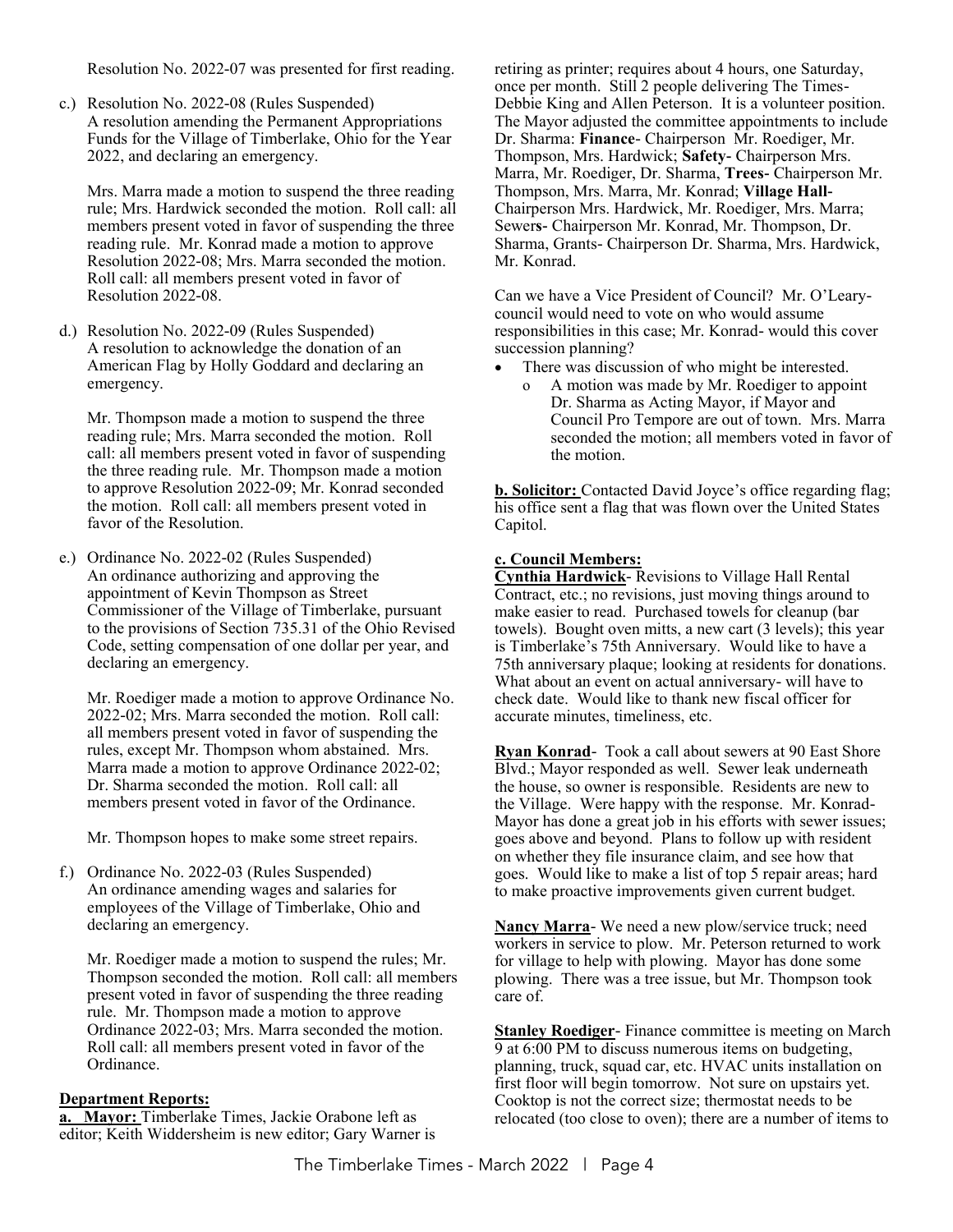Resolution No. 2022-07 was presented for first reading.

c.) Resolution No. 2022-08 (Rules Suspended) A resolution amending the Permanent Appropriations Funds for the Village of Timberlake, Ohio for the Year 2022, and declaring an emergency.

Mrs. Marra made a motion to suspend the three reading rule; Mrs. Hardwick seconded the motion. Roll call: all members present voted in favor of suspending the three reading rule. Mr. Konrad made a motion to approve Resolution 2022-08; Mrs. Marra seconded the motion. Roll call: all members present voted in favor of Resolution 2022-08.

d.) Resolution No. 2022-09 (Rules Suspended) A resolution to acknowledge the donation of an American Flag by Holly Goddard and declaring an emergency.

Mr. Thompson made a motion to suspend the three reading rule; Mrs. Marra seconded the motion. Roll call: all members present voted in favor of suspending the three reading rule. Mr. Thompson made a motion to approve Resolution 2022-09; Mr. Konrad seconded the motion. Roll call: all members present voted in favor of the Resolution.

e.) Ordinance No. 2022-02 (Rules Suspended) An ordinance authorizing and approving the appointment of Kevin Thompson as Street Commissioner of the Village of Timberlake, pursuant to the provisions of Section 735.31 of the Ohio Revised Code, setting compensation of one dollar per year, and declaring an emergency.

Mr. Roediger made a motion to approve Ordinance No. 2022-02; Mrs. Marra seconded the motion. Roll call: all members present voted in favor of suspending the rules, except Mr. Thompson whom abstained. Mrs. Marra made a motion to approve Ordinance 2022-02; Dr. Sharma seconded the motion. Roll call: all members present voted in favor of the Ordinance.

Mr. Thompson hopes to make some street repairs.

f.) Ordinance No. 2022-03 (Rules Suspended) An ordinance amending wages and salaries for employees of the Village of Timberlake, Ohio and declaring an emergency.

Mr. Roediger made a motion to suspend the rules; Mr. Thompson seconded the motion. Roll call: all members present voted in favor of suspending the three reading rule. Mr. Thompson made a motion to approve Ordinance 2022-03; Mrs. Marra seconded the motion. Roll call: all members present voted in favor of the Ordinance.

#### **Department Reports:**

**a. Mayor:** Timberlake Times, Jackie Orabone left as editor; Keith Widdersheim is new editor; Gary Warner is retiring as printer; requires about 4 hours, one Saturday, once per month. Still 2 people delivering The Times-Debbie King and Allen Peterson. It is a volunteer position. The Mayor adjusted the committee appointments to include Dr. Sharma: **Finance**- Chairperson Mr. Roediger, Mr. Thompson, Mrs. Hardwick; **Safety-** Chairperson Mrs. Marra, Mr. Roediger, Dr. Sharma, **Trees-** Chairperson Mr. Thompson, Mrs. Marra, Mr. Konrad; **Village Hall-**Chairperson Mrs. Hardwick, Mr. Roediger, Mrs. Marra; Sewer**s-** Chairperson Mr. Konrad, Mr. Thompson, Dr. Sharma, Grants- Chairperson Dr. Sharma, Mrs. Hardwick, Mr. Konrad.

Can we have a Vice President of Council? Mr. O'Learycouncil would need to vote on who would assume responsibilities in this case; Mr. Konrad- would this cover succession planning?

- There was discussion of who might be interested.
	- A motion was made by Mr. Roediger to appoint Dr. Sharma as Acting Mayor, if Mayor and Council Pro Tempore are out of town. Mrs. Marra seconded the motion; all members voted in favor of the motion.

**b. Solicitor:** Contacted David Joyce's office regarding flag; his office sent a flag that was flown over the United States Capitol.

#### **c. Council Members:**

**Cynthia Hardwick**- Revisions to Village Hall Rental Contract, etc.; no revisions, just moving things around to make easier to read. Purchased towels for cleanup (bar towels). Bought oven mitts, a new cart (3 levels); this year is Timberlake's 75th Anniversary. Would like to have a 75th anniversary plaque; looking at residents for donations. What about an event on actual anniversary- will have to check date. Would like to thank new fiscal officer for accurate minutes, timeliness, etc.

**Ryan Konrad**- Took a call about sewers at 90 East Shore Blvd.; Mayor responded as well. Sewer leak underneath the house, so owner is responsible. Residents are new to the Village. Were happy with the response. Mr. Konrad-Mayor has done a great job in his efforts with sewer issues; goes above and beyond. Plans to follow up with resident on whether they file insurance claim, and see how that goes. Would like to make a list of top 5 repair areas; hard to make proactive improvements given current budget.

**Nancy Marra**- We need a new plow/service truck; need workers in service to plow. Mr. Peterson returned to work for village to help with plowing. Mayor has done some plowing. There was a tree issue, but Mr. Thompson took care of.

**Stanley Roediger**- Finance committee is meeting on March 9 at 6:00 PM to discuss numerous items on budgeting, planning, truck, squad car, etc. HVAC units installation on first floor will begin tomorrow. Not sure on upstairs yet. Cooktop is not the correct size; thermostat needs to be relocated (too close to oven); there are a number of items to